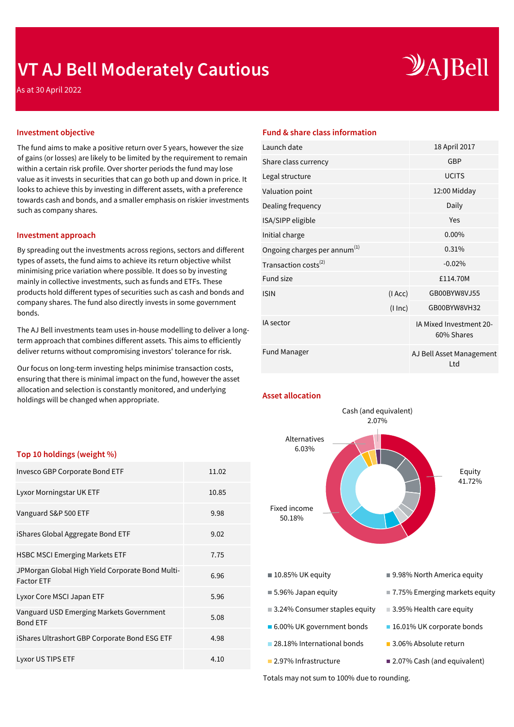## **VT AJ Bell Moderately Cautious**

# $\mathcal{Y}$ A]Bell

As at 30 April 2022

The fund aims to make a positive return over 5 years, however the size of gains (or losses) are likely to be limited by the requirement to remain within a certain risk profile. Over shorter periods the fund may lose value as it invests in securities that can go both up and down in price. It looks to achieve this by investing in different assets, with a preference towards cash and bonds, and a smaller emphasis on riskier investments such as company shares.

#### **Investment approach**

By spreading out the investments across regions, sectors and different types of assets, the fund aims to achieve its return objective whilst minimising price variation where possible. It does so by investing mainly in collective investments, such as funds and ETFs. These products hold different types of securities such as cash and bonds and company shares. The fund also directly invests in some government bonds.

The AJ Bell investments team uses in-house modelling to deliver a longterm approach that combines different assets. This aims to efficiently deliver returns without compromising investors' tolerance for risk.

Our focus on long-term investing helps minimise transaction costs, ensuring that there is minimal impact on the fund, however the asset allocation and selection is constantly monitored, and underlying holdings will be changed when appropriate.

#### **Top 10 holdings (weight %)**

| Invesco GBP Corporate Bond ETF                                        | 11.02 |
|-----------------------------------------------------------------------|-------|
| Lyxor Morningstar UK ETF                                              | 10.85 |
| Vanguard S&P 500 ETF                                                  | 9.98  |
| iShares Global Aggregate Bond ETF                                     | 9.02  |
| <b>HSBC MSCI Emerging Markets ETF</b>                                 | 7.75  |
| JPMorgan Global High Yield Corporate Bond Multi-<br><b>Factor ETF</b> | 6.96  |
| Lyxor Core MSCI Japan ETF                                             | 5.96  |
| Vanguard USD Emerging Markets Government<br><b>Bond ETF</b>           | 5.08  |
| iShares Ultrashort GBP Corporate Bond ESG ETF                         | 4.98  |
| Lyxor US TIPS ETF                                                     | 4.10  |

#### **Investment objective Fund & share class information**

| Launch date                        |          | 18 April 2017                         |
|------------------------------------|----------|---------------------------------------|
| Share class currency               |          | <b>GBP</b>                            |
| Legal structure                    |          | <b>UCITS</b>                          |
| Valuation point                    |          | 12:00 Midday                          |
| Dealing frequency                  |          | Daily                                 |
| ISA/SIPP eligible                  |          | Yes                                   |
| Initial charge                     |          | 0.00%                                 |
| Ongoing charges per annum $^{(1)}$ |          | 0.31%                                 |
| Transaction costs <sup>(2)</sup>   |          | $-0.02%$                              |
| <b>Fund size</b>                   |          | £114.70M                              |
| <b>ISIN</b>                        | (IAcc)   | GB00BYW8VJ55                          |
|                                    | (1 ln c) | GB00BYW8VH32                          |
| IA sector                          |          | IA Mixed Investment 20-<br>60% Shares |
| <b>Fund Manager</b>                |          | AJ Bell Asset Management<br>Ltd       |
|                                    |          |                                       |

#### **Asset allocation**



Totals may not sum to 100% due to rounding.